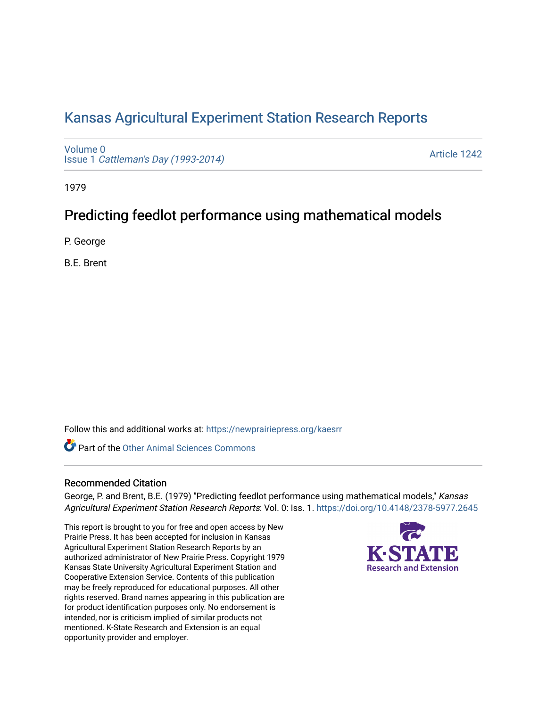# [Kansas Agricultural Experiment Station Research Reports](https://newprairiepress.org/kaesrr)

[Volume 0](https://newprairiepress.org/kaesrr/vol0) Issue 1 [Cattleman's Day \(1993-2014\)](https://newprairiepress.org/kaesrr/vol0/iss1) 

[Article 1242](https://newprairiepress.org/kaesrr/vol0/iss1/1242) 

1979

# Predicting feedlot performance using mathematical models

P. George

B.E. Brent

Follow this and additional works at: [https://newprairiepress.org/kaesrr](https://newprairiepress.org/kaesrr?utm_source=newprairiepress.org%2Fkaesrr%2Fvol0%2Fiss1%2F1242&utm_medium=PDF&utm_campaign=PDFCoverPages) 

**C** Part of the [Other Animal Sciences Commons](http://network.bepress.com/hgg/discipline/82?utm_source=newprairiepress.org%2Fkaesrr%2Fvol0%2Fiss1%2F1242&utm_medium=PDF&utm_campaign=PDFCoverPages)

### Recommended Citation

George, P. and Brent, B.E. (1979) "Predicting feedlot performance using mathematical models," Kansas Agricultural Experiment Station Research Reports: Vol. 0: Iss. 1.<https://doi.org/10.4148/2378-5977.2645>

This report is brought to you for free and open access by New Prairie Press. It has been accepted for inclusion in Kansas Agricultural Experiment Station Research Reports by an authorized administrator of New Prairie Press. Copyright 1979 Kansas State University Agricultural Experiment Station and Cooperative Extension Service. Contents of this publication may be freely reproduced for educational purposes. All other rights reserved. Brand names appearing in this publication are for product identification purposes only. No endorsement is intended, nor is criticism implied of similar products not mentioned. K-State Research and Extension is an equal opportunity provider and employer.

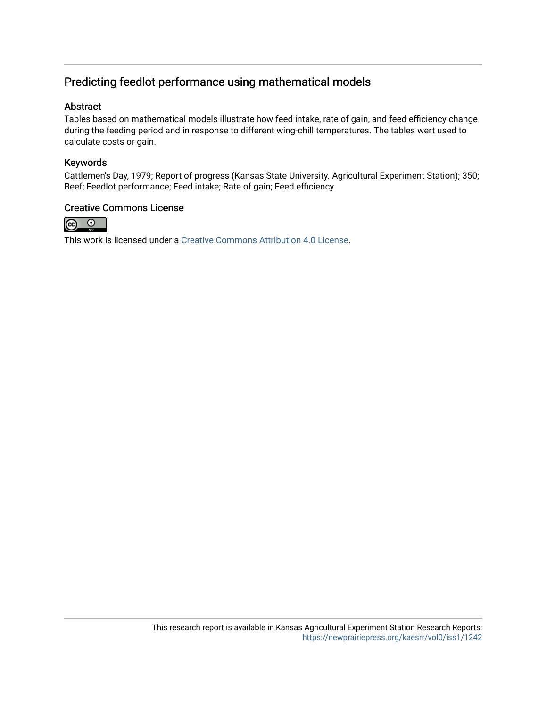# Predicting feedlot performance using mathematical models

## Abstract

Tables based on mathematical models illustrate how feed intake, rate of gain, and feed efficiency change during the feeding period and in response to different wing-chill temperatures. The tables wert used to calculate costs or gain.

# Keywords

Cattlemen's Day, 1979; Report of progress (Kansas State University. Agricultural Experiment Station); 350; Beef; Feedlot performance; Feed intake; Rate of gain; Feed efficiency

### Creative Commons License



This work is licensed under a [Creative Commons Attribution 4.0 License](https://creativecommons.org/licenses/by/4.0/).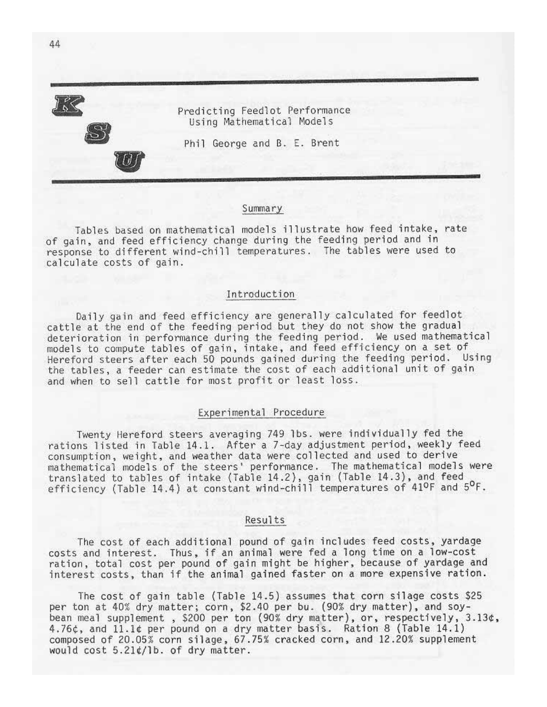Predicting Feedlot Performance Using Mathematical Models

Phil George and B. E. Brent

#### Summary

Tables based on mathematical models illustrate how feed intake, rate of gain, and feed efficiency change during the feeding period and in response to different wind-chill temperatures. The tables were used to calculate costs of gain.

#### Introduction

Daily gain and feed efficiency are generally calculated for feedlot cattle at the end of the feeding period but they do not show the gradual deterioration in performance during the feeding period. We used mathematical models to compute tables of gain, intake, and feed efficiency on a set of Hereford steers after each 50 pounds gained during the feeding period. Using the tables, a feeder can estimate the cost of each additional unit of gain and when to sell cattle for most profit or least loss.

#### Experimental Procedure

Twenty Hereford steers averaging 749 lbs. were individually fed the rations listed in Table 14.1. After a 7-day adjustment period, weekly feed consumption, weight, and weather data were collected and used to derive mathematical models of the steers' performance. The mathematical models were translated to tables of intake (Table 14.2), gain (Table 14.3), and feed efficiency (Table 14.4) at constant wind-chill temperatures of 41ºF and 5ºF.

#### Results

The cost of each additional pound of gain includes feed costs, yardage costs and interest. Thus, if an animal were fed a long time on a low-cost ration, total cost per pound of gain might be higher, because of yardage and interest costs, than if the animal gained faster on a more expensive ration.

The cost of gain table (Table 14.5) assumes that corn silage costs \$25 per ton at 40% dry matter; corn, \$2.40 per bu. (90% dry matter), and soybean meal supplement, \$200 per ton (90% dry matter), or, respectively, 3.13¢, 4.76¢, and 11.1¢ per pound on a dry matter basis. Ration 8 (Table 14.1) composed of 20.05% corn silage, 67.75% cracked corn, and 12.20% supplement would cost 5.21¢/lb. of dry matter.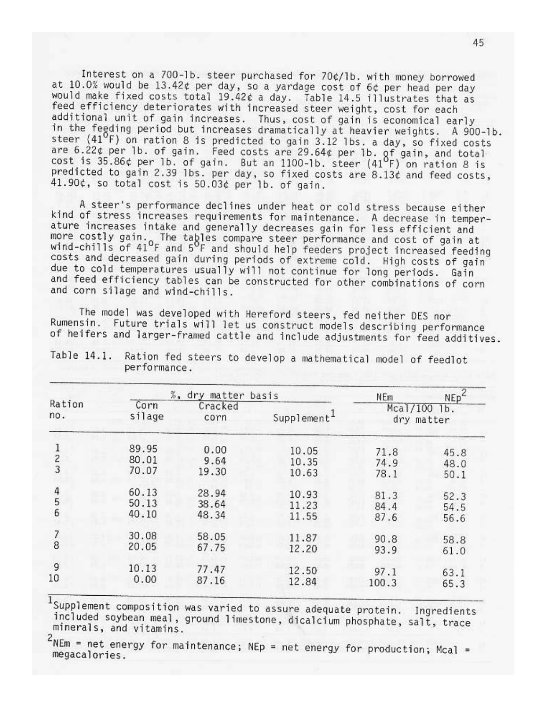Interest on a 700-1b. steer purchased for 70¢/1b. with money borrowed at 10.0% would be 13.42¢ per day, so a yardage cost of 6¢ per head per day would make fixed costs total 19.42¢ a day. Table 14.5 illustrates that as feed efficiency deteriorates with increased steer weight, cost for each additional unit of gain increases. Thus, cost of gain is economical early in the feeding period but increases dramatically at heavier weights. A 900-1b. steer (41<sup>o</sup>F) on ration 8 is predicted to gain 3.12 lbs. a day, so fixed costs are 6.22¢ per 1b. of gain. Feed costs are 29.64¢ per 1b. gf gain, and total cost is 35.86¢ per 1b. of gain. But an 1100-1b. steer (41<sup>0</sup>F) on ration 8 is predicted to gain 2.39 lbs. per day, so fixed costs are 8.13¢ and feed costs, 41.90¢, so total cost is 50.03¢ per lb. of gain.

A steer's performance declines under heat or cold stress because either kind of stress increases requirements for maintenance. A decrease in temperature increases intake and generally decreases gain for less efficient and more costly gain. The tables compare steer performance and cost of gain at<br>wind-chills of 41<sup>o</sup>F and 5<sup>o</sup>F and should help feeders project increased feeding costs and decreased gain during periods of extreme cold. High costs of gain due to cold temperatures usually will not continue for long periods. Gain and feed efficiency tables can be constructed for other combinations of corn and corn silage and wind-chills.

The model was developed with Hereford steers, fed neither DES nor Future trials will let us construct models describing performance Rumensin. of heifers and larger-framed cattle and include adjustments for feed additives.

|                                            |                | %, dry matter basis | <b>NEm</b>              | $NEp^2$ |                            |
|--------------------------------------------|----------------|---------------------|-------------------------|---------|----------------------------|
| Ration<br>no.                              | Corn<br>silage | Cracked<br>corn     | Supplement <sup>1</sup> |         | Mcal/100 lb.<br>dry matter |
| $\frac{2}{3}$                              | 89.95          | 0.00                | 10.05                   | 71.8    | 45.8                       |
|                                            | 80.01          | 9.64                | 10.35                   | 74.9    | 48.0                       |
|                                            | 70.07          | 19.30               | 10.63                   | 78.1    | 50.1                       |
| $\begin{array}{c} 4 \\ 5 \\ 6 \end{array}$ | 60.13          | 28.94               | 10.93                   | 81.3    | 52.3                       |
|                                            | 50.13          | 38.64               | 11.23                   | 84.4    | 54.5                       |
|                                            | 40.10          | 48.34               | 11.55                   | 87.6    | 56.6                       |
| 7                                          | 30.08          | 58.05               | 11.87                   | 90.8    | 58.8                       |
| 8                                          | 20.05          | 67.75               | 12.20                   | 93.9    | 61.0                       |
| 9                                          | 10.13          | 77.47               | 12.50                   | 97.1    | 63.1                       |
| 10                                         | 0.00           | 87.16               | 12.84                   | 100.3   | 65.3                       |

Ration fed steers to develop a mathematical model of feedlot Table 14.1. performance.

 $1$ Supplement composition was varied to assure adequate protein. Ingredients included soybean meal, ground limestone, dicalcium phosphate, salt, trace minerals, and vitamins.

 $2$ NEm = net energy for maintenance; NEp = net energy for production; Mcal = megacalories.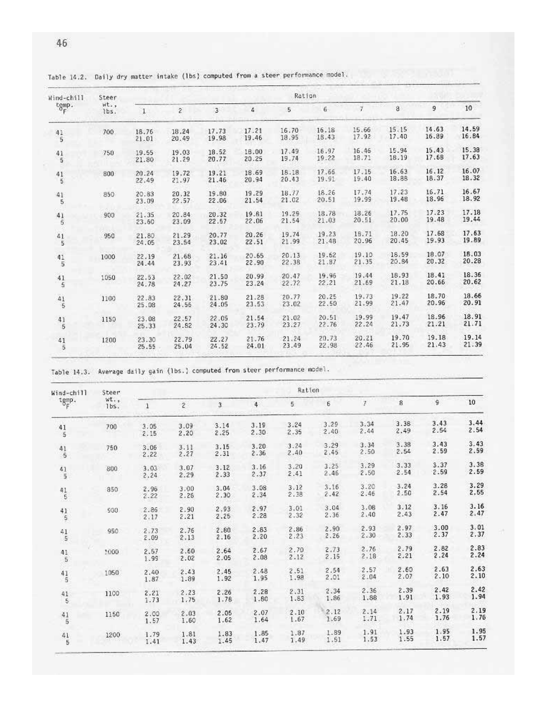| Wind-chill                                    | Steer        | Ration         |                |                |                |                |                |                |                |                |                |
|-----------------------------------------------|--------------|----------------|----------------|----------------|----------------|----------------|----------------|----------------|----------------|----------------|----------------|
| $\frac{\text{temp}}{\delta_F}$ .              | wt.,<br>lbs. | $\mathbf{1}$   | $\overline{c}$ | 3              | 4              | 5              | 6 <sub>1</sub> | 7              | 8              | 9              | 10             |
| 41<br>5                                       | 700          | 18.76<br>21.01 | 18.24<br>20.49 | 17.73<br>19.98 | 17.21<br>19.46 | 16.70<br>18.95 | 16.18<br>18.43 | 15.66<br>17.92 | 15.15<br>17.40 | 14.63<br>16.89 | 14.59<br>16.84 |
| $\frac{41}{5}$                                | 750          | 19.55<br>21.80 | 19.03<br>21.29 | 18.52<br>20.77 | 18.00<br>20.25 | 17.49<br>19.74 | 16.97<br>19.22 | 16.46<br>18.71 | 15.94<br>18.19 | 15.43<br>17.68 | 15.38<br>17.63 |
| $\frac{41}{5}$                                | 800          | 20.24<br>22.49 | 19.72<br>21.97 | 19.21<br>21.46 | 18.69<br>20.94 | 18.18<br>20.43 | 17.66<br>19.91 | 17.15<br>19.40 | 16.63<br>18.88 | 16.12<br>18.37 | 16.07<br>18.32 |
| 41<br>5                                       | 850          | 20.83<br>23.09 | 20.32<br>22.57 | 19.80<br>22.06 | 19.29<br>21.54 | 18.77<br>21.02 | 18.26<br>20.51 | 17.74<br>19.99 | 17.23<br>19.48 | 16.71<br>18.96 | 16.67<br>18.92 |
| 41<br>5                                       | 900          | 21.35<br>23.60 | 20.84<br>23.09 | 20.32<br>22.57 | 19.81<br>22.06 | 19.29<br>21.54 | 18.78<br>21.03 | 18.26<br>20.51 | 17.75<br>20.00 | 17.23<br>19.48 | 17.18<br>19.44 |
| $\frac{41}{5}$                                | 950          | 21.80<br>24.05 | 21.29<br>23.54 | 20.77<br>23.02 | 20.26<br>22.51 | 19.74<br>21.99 | 19.23<br>21.48 | 18.71<br>20.96 | 18.20<br>20.45 | 17.68<br>19.93 | 17.63<br>19.89 |
| $\frac{41}{5}$                                | 1000         | 22.19<br>24.44 | 21.68<br>23.93 | 21.16<br>23.41 | 20.65<br>22.90 | 20.13<br>22.38 | 19.62<br>21.87 | 19.10<br>21.35 | 18.59<br>20.84 | 18.07<br>20.32 | 18.03<br>20.28 |
| $\begin{array}{c} 41 \\ 5 \end{array}$        | 1050         | 22.53<br>24.78 | 22.02<br>24.27 | 21.50<br>23.75 | 20.99<br>23.24 | 20.47<br>22.72 | 19.96<br>22.21 | 19.44<br>21.69 | 18.93<br>21.18 | 18.41<br>20.66 | 18.36<br>20.62 |
| $\frac{41}{5}$                                | 1100         | 22.83<br>25.08 | 22.31<br>24.55 | 21.80<br>24.05 | 21.28<br>23.53 | 20.77<br>23.02 | 20.25<br>22.50 | 19.73<br>21.99 | 19.22<br>21.47 | 18.70<br>20.96 | 18.66<br>20.91 |
| $\frac{41}{5}$                                | 1150         | 23.08<br>25.33 | 22.57<br>24.82 | 22.05<br>24.30 | 21.54<br>23.79 | 21.02<br>23.27 | 20.51<br>22.76 | 19.99<br>22.24 | 19.47<br>21,73 | 18.96<br>21.21 | 18.91<br>21.71 |
| $\begin{smallmatrix} 41\\5 \end{smallmatrix}$ | 1200         | 23.30<br>25.55 | 22.79<br>25.04 | 22.27<br>24.52 | 21.76<br>24.01 | 21.24<br>23.49 | 20.73<br>22.98 | 20.21<br>22.46 | 19.70<br>21.95 | 19.18<br>21.43 | 19.14<br>21.39 |

o.

Table 14.2. Daily dry matter intake (1bs) computed from a steer performance model.

Table 14.3. Average daily gain (lbs.) computed from steer performance model.

| Wind-chill<br>$t_{\delta_F^{emp}}$ .          | Steer        | Ration       |                    |              |              |              |              |               |              |               |              |
|-----------------------------------------------|--------------|--------------|--------------------|--------------|--------------|--------------|--------------|---------------|--------------|---------------|--------------|
|                                               | wt.,<br>1bs. | 1            | $\hat{\mathbf{z}}$ | 3            | 4            | 5            | Б            | $\mathcal{I}$ | 8            | $\mathcal{G}$ | 10           |
| 41<br>5                                       | 700          | 3.05<br>2.15 | 3.09<br>2.20       | 3.14<br>2.25 | 3.19<br>2.30 | 3.24<br>2.35 | 3.29<br>2,40 | 3.34<br>2.44  | 3.38<br>2.49 | 3.43<br>2.54  | 3.44<br>2.54 |
| $\begin{array}{c} 41 \\ 5 \end{array}$        | 750          | 3.06<br>2.22 | 3.11<br>2.27       | 3.15<br>2.31 | 3.20<br>2.36 | 3.24<br>2.40 | 3:29<br>2.45 | 3.34<br>2.50  | 3.38<br>2.54 | 3.43<br>2.59  | 3.43<br>2.59 |
| $\frac{41}{5}$                                | 800          | 3.03<br>2.24 | 3.07<br>2.29       | 3.12<br>2.33 | 3.16<br>2.37 | 3.20<br>2.41 | 3.25<br>2.46 | 3.29<br>2.50  | 3.33<br>2.54 | 3.37<br>2.59  | 3.38<br>2.59 |
| $\begin{array}{c} 41 \\ 5 \end{array}$        | 850          | 2.96<br>2.22 | 3.00<br>2.26       | 3.04<br>2.30 | 3.08<br>2.34 | 3.12<br>2.38 | 3.16<br>2.42 | 3.20<br>2.46  | 3.24<br>2.50 | 3.28<br>2.54  | 3.29<br>2.55 |
| $\begin{smallmatrix} 41\\5 \end{smallmatrix}$ | 900          | 2.86<br>2.17 | 2.90<br>2.21       | 2.93<br>2.25 | 2.97<br>2.28 | 3.01<br>2.32 | 3.04<br>2.36 | 3.08<br>2.40  | 3.12<br>2.43 | 3.16<br>2.47  | 3.16<br>2.47 |
| $^{41}_{-5}$                                  | 950          | 2.73<br>2.09 | 2.76<br>2.13       | 2.80<br>2.16 | 2.83<br>2.20 | 2.86<br>2.23 | 2.90<br>2.26 | 2.93<br>2.30  | 2.97<br>2.33 | 3.00<br>2.37  | 3.01<br>2.37 |
| $41\,$<br>5                                   | 1000         | 2.57<br>1.99 | 2.60<br>2.02       | 2.64<br>2.05 | 2.67<br>2.08 | 2.70<br>2.12 | 2.73<br>2.15 | 2.76<br>2.18  | 2.79<br>2.21 | 2.82<br>2.24  | 2.83<br>2.24 |
| $41$<br>$5$                                   | 1050         | 2.40<br>1.87 | 2.43<br>1.89       | 2.45<br>1.92 | 2.48<br>1.95 | 2.51<br>1.98 | 2.54<br>2.01 | 2.57<br>2.04  | 2.60<br>2.07 | 2.63<br>2.10  | 2.63<br>2.10 |
| 41<br>5                                       | 1100         | 2.21<br>1.73 | 2.23<br>1.75       | 2.26<br>1.78 | 2.28<br>1.80 | 2.31<br>1.83 | 2.34<br>1.86 | 2.36<br>1.88  | 2.39<br>1.91 | 2.42<br>1.93  | 2.42<br>1.94 |
| $\frac{41}{5}$                                | 1150         | 2.00<br>1.57 | 2.03<br>1.60       | 2.05<br>1.62 | 2.07<br>1.64 | 2.10<br>1.67 | 2.12<br>1.69 | 2.14<br>1.71  | 2.17<br>1.74 | 2.19<br>1.76  | 2.19<br>1.76 |
| $\begin{array}{c} 41 \\ 5 \end{array}$        | 1200         | 1.79<br>1.41 | 1.81<br>1.43       | 1.83<br>1.45 | 1.85<br>1.47 | 1.87<br>1.49 | 1.89<br>1.51 | 1.91<br>1.53  | 1.93<br>1.55 | 1.95<br>1.57  | 1.95<br>1.57 |